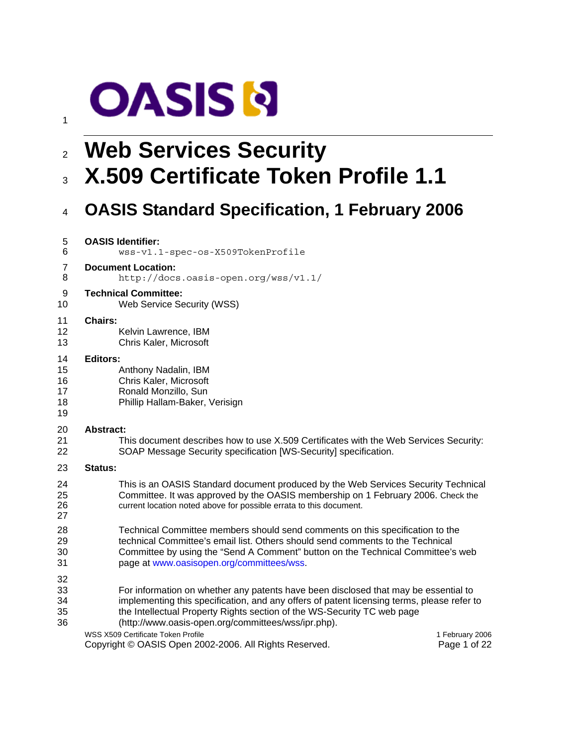# **OASIS N**

1

# <sup>2</sup>**Web Services Security**

## <sup>3</sup>**X.509 Certificate Token Profile 1.1**

## <sup>4</sup>**OASIS Standard Specification, 1 February 2006**

| <b>OASIS Identifier:</b><br>wss-v1.1-spec-os-X509TokenProfile                                                                                                                                                                                                                                                                                                                |
|------------------------------------------------------------------------------------------------------------------------------------------------------------------------------------------------------------------------------------------------------------------------------------------------------------------------------------------------------------------------------|
| <b>Document Location:</b><br>http://docs.oasis-open.org/wss/v1.1/                                                                                                                                                                                                                                                                                                            |
| <b>Technical Committee:</b><br>Web Service Security (WSS)                                                                                                                                                                                                                                                                                                                    |
| <b>Chairs:</b><br>Kelvin Lawrence, IBM<br>Chris Kaler, Microsoft                                                                                                                                                                                                                                                                                                             |
| Editors:<br>Anthony Nadalin, IBM<br>Chris Kaler, Microsoft<br>Ronald Monzillo, Sun<br>Phillip Hallam-Baker, Verisign                                                                                                                                                                                                                                                         |
| <b>Abstract:</b><br>This document describes how to use X.509 Certificates with the Web Services Security:<br>SOAP Message Security specification [WS-Security] specification.                                                                                                                                                                                                |
| Status:                                                                                                                                                                                                                                                                                                                                                                      |
| This is an OASIS Standard document produced by the Web Services Security Technical<br>Committee. It was approved by the OASIS membership on 1 February 2006. Check the<br>current location noted above for possible errata to this document.                                                                                                                                 |
| Technical Committee members should send comments on this specification to the<br>technical Committee's email list. Others should send comments to the Technical<br>Committee by using the "Send A Comment" button on the Technical Committee's web<br>page at www.oasisopen.org/committees/wss.                                                                              |
| For information on whether any patents have been disclosed that may be essential to<br>implementing this specification, and any offers of patent licensing terms, please refer to<br>the Intellectual Property Rights section of the WS-Security TC web page<br>(http://www.oasis-open.org/committees/wss/ipr.php).<br>WSS X509 Certificate Token Profile<br>1 February 2006 |
|                                                                                                                                                                                                                                                                                                                                                                              |

Copyright © OASIS Open 2002-2006. All Rights Reserved. Page 1 of 22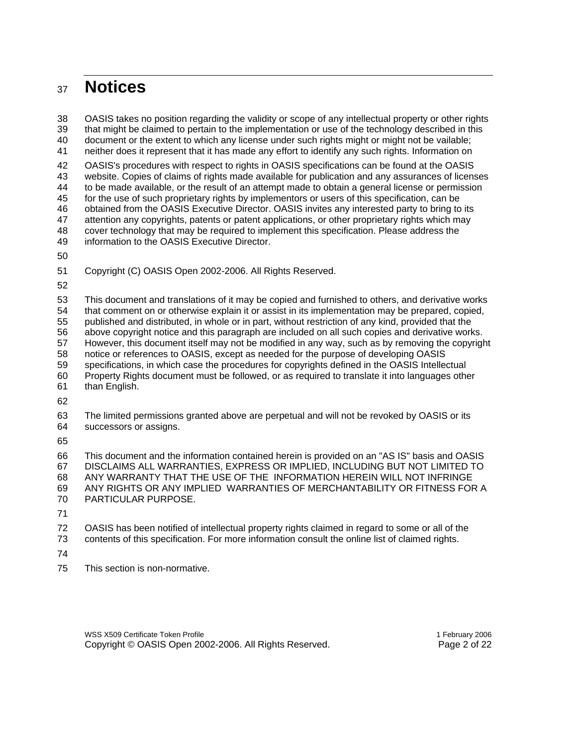### <sup>37</sup>**Notices**

38 OASIS takes no position regarding the validity or scope of any intellectual property or other rights 39 that might be claimed to pertain to the implementation or use of the technology described in this 40 document or the extent to which any license under such rights might or might not be vailable; 41 neither does it represent that it has made any effort to identify any such rights. Information on 42 OASIS's procedures with respect to rights in OASIS specifications can be found at the OASIS 43 website. Copies of claims of rights made available for publication and any assurances of licenses 44 to be made available, or the result of an attempt made to obtain a general license or permission 45 for the use of such proprietary rights by implementors or users of this specification, can be 46 obtained from the OASIS Executive Director. OASIS invites any interested party to bring to its 47 attention any copyrights, patents or patent applications, or other proprietary rights which may 48 cover technology that may be required to implement this specification. Please address the 49 information to the OASIS Executive Director. 50 51 Copyright (C) OASIS Open 2002-2006. All Rights Reserved. 52 53 This document and translations of it may be copied and furnished to others, and derivative works 54 that comment on or otherwise explain it or assist in its implementation may be prepared, copied, 55 published and distributed, in whole or in part, without restriction of any kind, provided that the 56 above copyright notice and this paragraph are included on all such copies and derivative works. 57 However, this document itself may not be modified in any way, such as by removing the copyright 58 notice or references to OASIS, except as needed for the purpose of developing OASIS 59 specifications, in which case the procedures for copyrights defined in the OASIS Intellectual 60 Property Rights document must be followed, or as required to translate it into languages other 61 than English. 62 63 The limited permissions granted above are perpetual and will not be revoked by OASIS or its 64 successors or assigns. 65 66 This document and the information contained herein is provided on an "AS IS" basis and OASIS 67 DISCLAIMS ALL WARRANTIES, EXPRESS OR IMPLIED, INCLUDING BUT NOT LIMITED TO 68 ANY WARRANTY THAT THE USE OF THE INFORMATION HEREIN WILL NOT INFRINGE 69 ANY RIGHTS OR ANY IMPLIED WARRANTIES OF MERCHANTABILITY OR FITNESS FOR A 70 PARTICULAR PURPOSE. 71

72 OASIS has been notified of intellectual property rights claimed in regard to some or all of the 73 contents of this specification. For more information consult the online list of claimed rights.

- 74
- 75 This section is non-normative.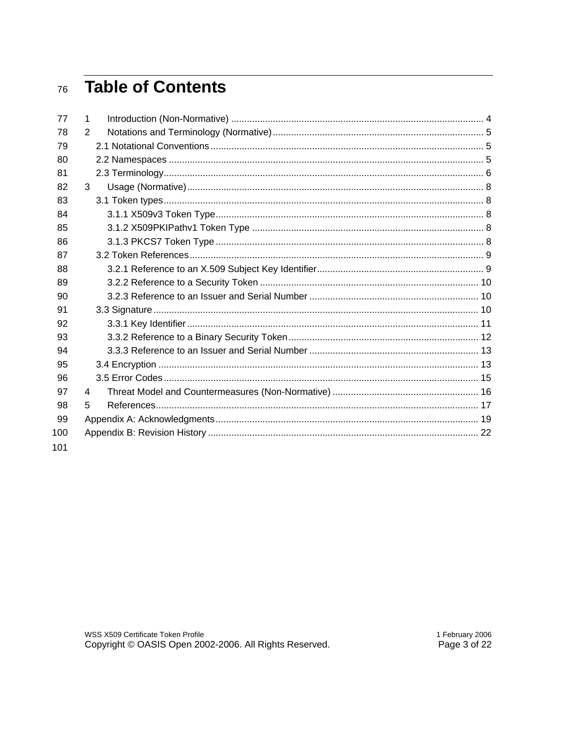## 76 Table of Contents

| 77  | 1              |  |
|-----|----------------|--|
| 78  | $\overline{2}$ |  |
| 79  |                |  |
| 80  |                |  |
| 81  |                |  |
| 82  | 3              |  |
| 83  |                |  |
| 84  |                |  |
| 85  |                |  |
| 86  |                |  |
| 87  |                |  |
| 88  |                |  |
| 89  |                |  |
| 90  |                |  |
| 91  |                |  |
| 92  |                |  |
| 93  |                |  |
| 94  |                |  |
| 95  |                |  |
| 96  |                |  |
| 97  | 4              |  |
| 98  | 5              |  |
| 99  |                |  |
| 100 |                |  |
| 101 |                |  |

WSS X509 Certificate Token Profile<br>Copyright © OASIS Open 2002-2006. All Rights Reserved.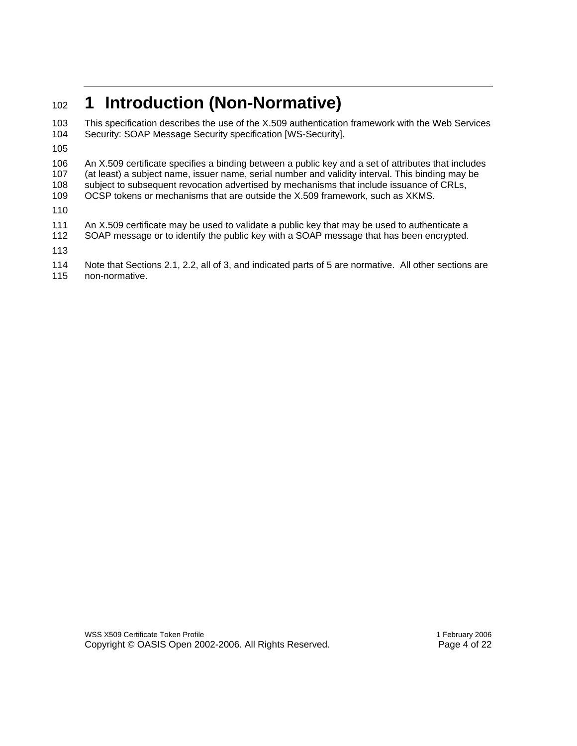## <sup>102</sup>**1 Introduction (Non-Normative)**

103 This specification describes the use of the X.509 authentication framework with the Web Services 104 Security: SOAP Message Security specification [WS-Security].

105

106 An X.509 certificate specifies a binding between a public key and a set of attributes that includes 107 (at least) a subject name, issuer name, serial number and validity interval. This binding may be

108 subject to subsequent revocation advertised by mechanisms that include issuance of CRLs,

109 OCSP tokens or mechanisms that are outside the X.509 framework, such as XKMS.

110

111 An X.509 certificate may be used to validate a public key that may be used to authenticate a

- 112 SOAP message or to identify the public key with a SOAP message that has been encrypted.
- 113

114 Note that Sections 2.1, 2.2, all of 3, and indicated parts of 5 are normative. All other sections are 115 non-normative.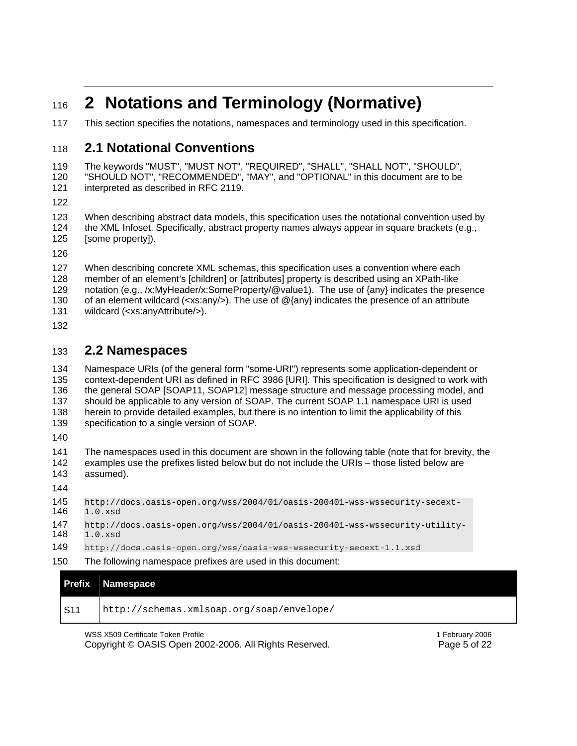## <sup>116</sup>**2 Notations and Terminology (Normative)**

117 This section specifies the notations, namespaces and terminology used in this specification.

#### 118 **2.1 Notational Conventions**

119 The keywords "MUST", "MUST NOT", "REQUIRED", "SHALL", "SHALL NOT", "SHOULD", 120 "SHOULD NOT", "RECOMMENDED", "MAY", and "OPTIONAL" in this document are to be 121 interpreted as described in RFC 2119.

122

123 When describing abstract data models, this specification uses the notational convention used by 124 the XML Infoset. Specifically, abstract property names always appear in square brackets (e.g., 125 [some property]).

126

127 When describing concrete XML schemas, this specification uses a convention where each 128 member of an element's [children] or [attributes] property is described using an XPath-like 129 notation (e.g., /x:MyHeader/x:SomeProperty/@value1). The use of {any} indicates the presence 130 of an element wildcard (<xs:any/>). The use of @{any} indicates the presence of an attribute

- 131 wildcard (<xs:anyAttribute/>).
- 132

#### 133 **2.2 Namespaces**

134 Namespace URIs (of the general form "some-URI") represents some application-dependent or 135 context-dependent URI as defined in RFC 3986 [URI]. This specification is designed to work with 136 the general SOAP [SOAP11, SOAP12] message structure and message processing model, and 137 should be applicable to any version of SOAP. The current SOAP 1.1 namespace URI is used 138 herein to provide detailed examples, but there is no intention to limit the applicability of this 139 specification to a single version of SOAP.

140

141 The namespaces used in this document are shown in the following table (note that for brevity, the 142 examples use the prefixes listed below but do not include the URIs – those listed below are 143 assumed).

144

| 145 | http://docs.oasis-open.org/wss/2004/01/oasis-200401-wss-wssecurity-secext-  |
|-----|-----------------------------------------------------------------------------|
| 146 | 1.0.xsd                                                                     |
| 147 | http://docs.oasis-open.org/wss/2004/01/oasis-200401-wss-wssecurity-utility- |
| 148 | 1.0.xsd                                                                     |
| 149 | http://docs.oasis-open.org/wss/oasis-wss-wssecurity-secext-1.1.xsd          |
|     |                                                                             |

150 The following namespace prefixes are used in this document:

|                                                     | <b>Prefix Namespace</b>                   |  |
|-----------------------------------------------------|-------------------------------------------|--|
| <b>S11</b>                                          | http://schemas.xmlsoap.org/soap/envelope/ |  |
| WSS X509 Certificate Token Profile<br>February 2006 |                                           |  |

Copyright © OASIS Open 2002-2006. All Rights Reserved. Page 5 of 22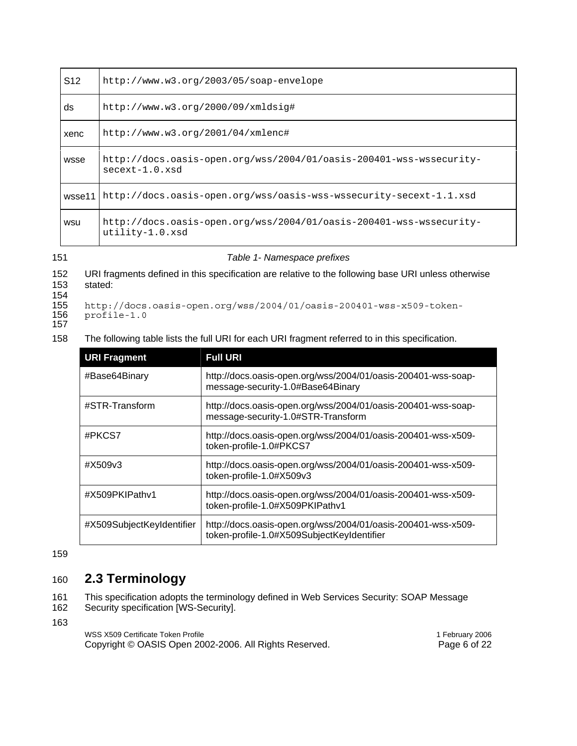| S <sub>12</sub> | http://www.w3.org/2003/05/soap-envelope                                                  |
|-----------------|------------------------------------------------------------------------------------------|
| ds              | http://www.w3.org/2000/09/xmldsiq#                                                       |
| xenc            | http://www.w3.org/2001/04/xmlenc#                                                        |
| wsse            | http://docs.oasis-open.org/wss/2004/01/oasis-200401-wss-wssecurity-<br>$secext-1.0.xsd$  |
| wsse11          | http://docs.oasis-open.org/wss/oasis-wss-wssecurity-secext-1.1.xsd                       |
| wsu             | http://docs.oasis-open.org/wss/2004/01/oasis-200401-wss-wssecurity-<br>$utility-1.0.xsd$ |

#### 151 *Table 1- Namespace prefixes*

152 URI fragments defined in this specification are relative to the following base URI unless otherwise 153 stated:

154<br>155

155 http://docs.oasis-open.org/wss/2004/01/oasis-200401-wss-x509-tokenprofile-1.0

157

#### 158 The following table lists the full URI for each URI fragment referred to in this specification.

| <b>URI Fragment</b>       | <b>Full URI</b>                                                                                             |
|---------------------------|-------------------------------------------------------------------------------------------------------------|
| #Base64Binary             | http://docs.oasis-open.org/wss/2004/01/oasis-200401-wss-soap-<br>message-security-1.0#Base64Binary          |
| #STR-Transform            | http://docs.oasis-open.org/wss/2004/01/oasis-200401-wss-soap-<br>message-security-1.0#STR-Transform         |
| #PKCS7                    | http://docs.oasis-open.org/wss/2004/01/oasis-200401-wss-x509-<br>token-profile-1.0#PKCS7                    |
| #X509v3                   | http://docs.oasis-open.org/wss/2004/01/oasis-200401-wss-x509-<br>token-profile-1.0#X509v3                   |
| #X509PKIPathy1            | http://docs.oasis-open.org/wss/2004/01/oasis-200401-wss-x509-<br>token-profile-1.0#X509PKIPathv1            |
| #X509SubjectKeyIdentifier | http://docs.oasis-open.org/wss/2004/01/oasis-200401-wss-x509-<br>token-profile-1.0#X509SubjectKeyIdentifier |

159

#### 160 **2.3 Terminology**

161 This specification adopts the terminology defined in Web Services Security: SOAP Message

162 Security specification [WS-Security].

163

WSS X509 Certificate Token Profile<br>
Copyright © OASIS Open 2002-2006. All Rights Reserved.<br>
Page 6 of 22 Copyright © OASIS Open 2002-2006. All Rights Reserved.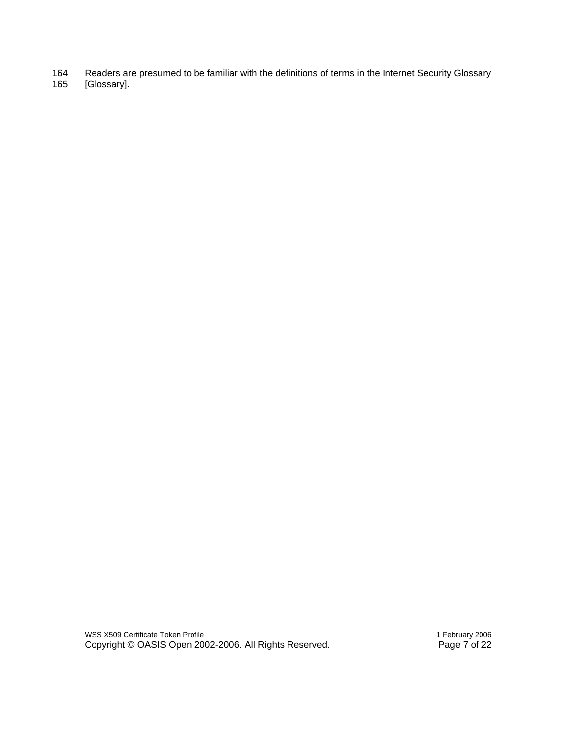- 164 Readers are presumed to be familiar with the definitions of terms in the Internet Security Glossary<br>165 [Glossary].
- [Glossary].

WSS X509 Certificate Token Profile 1 February 2006 Copyright © OASIS Open 2002-2006. All Rights Reserved. Page 7 of 22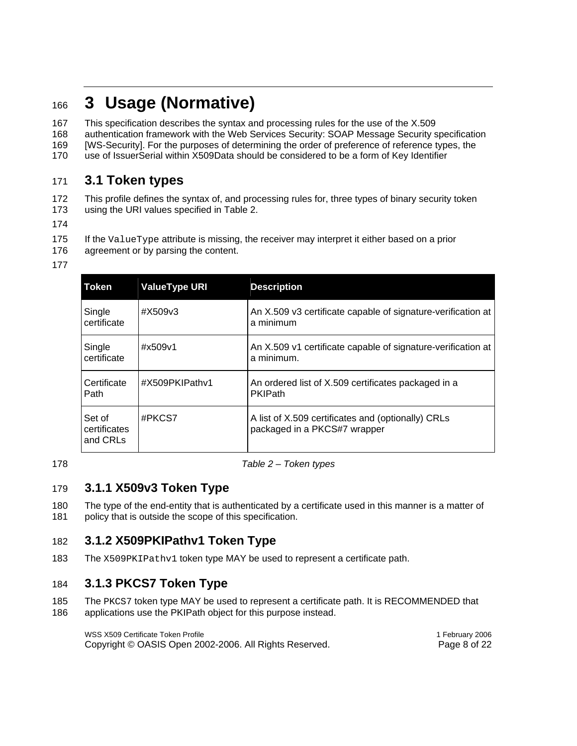## <sup>166</sup>**3 Usage (Normative)**

167 This specification describes the syntax and processing rules for the use of the X.509

168 authentication framework with the Web Services Security: SOAP Message Security specification 169 [WS-Security]. For the purposes of determining the order of preference of reference types, the

170 use of IssuerSerial within X509Data should be considered to be a form of Key Identifier

#### 171 **3.1 Token types**

172 This profile defines the syntax of, and processing rules for, three types of binary security token 173 using the URI values specified in Table 2.

174

- 175 If the ValueType attribute is missing, the receiver may interpret it either based on a prior
- 176 agreement or by parsing the content.
- 177

| Token                              | <b>ValueType URI</b> | <b>Description</b>                                                                 |
|------------------------------------|----------------------|------------------------------------------------------------------------------------|
| Single<br>certificate              | #X509v3              | An X.509 v3 certificate capable of signature-verification at<br>a minimum          |
| Single<br>certificate              | #x509v1              | An X.509 v1 certificate capable of signature-verification at<br>a minimum.         |
| Certificate<br>Path                | #X509PKIPathy1       | An ordered list of X.509 certificates packaged in a<br><b>PKIPath</b>              |
| Set of<br>certificates<br>and CRLs | #PKCS7               | A list of X.509 certificates and (optionally) CRLs<br>packaged in a PKCS#7 wrapper |

178 *Table 2 – Token types* 

#### 179 **3.1.1 X509v3 Token Type**

180 The type of the end-entity that is authenticated by a certificate used in this manner is a matter of 181 policy that is outside the scope of this specification.

#### 182 **3.1.2 X509PKIPathv1 Token Type**

183 The X509PKIPathv1 token type MAY be used to represent a certificate path.

#### 184 **3.1.3 PKCS7 Token Type**

185 The PKCS7 token type MAY be used to represent a certificate path. It is RECOMMENDED that

186 applications use the PKIPath object for this purpose instead.

WSS X509 Certificate Token Profile 1 February 2006

Copyright © OASIS Open 2002-2006. All Rights Reserved. Page 8 of 22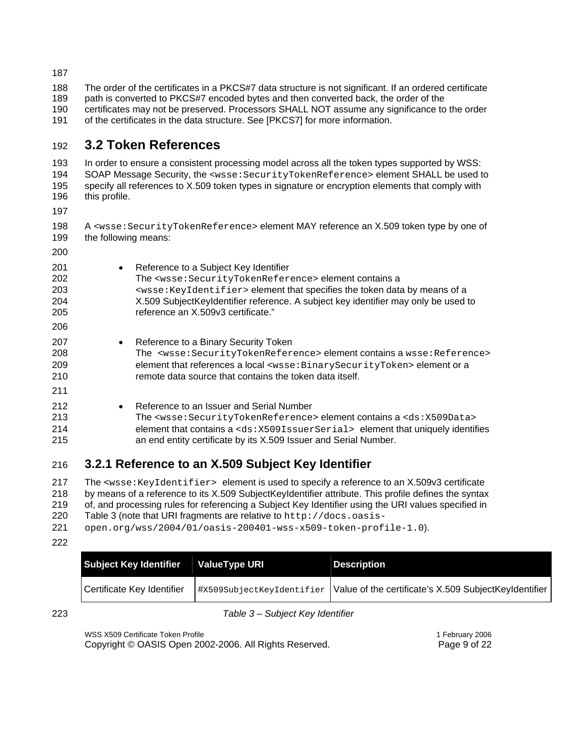189 path is converted to PKCS#7 encoded bytes and then converted back, the order of the 190 certificates may not be preserved. Processors SHALL NOT assume any significance to the order 191 of the certificates in the data structure. See [PKCS7] for more information. 192 **3.2 Token References**  193 In order to ensure a consistent processing model across all the token types supported by WSS: 194 SOAP Message Security, the <wsse:SecurityTokenReference> element SHALL be used to 195 specify all references to X.509 token types in signature or encryption elements that comply with 196 this profile. 197 198 A <wsse:SecurityTokenReference> element MAY reference an X.509 token type by one of 199 the following means: 200 201 • Reference to a Subject Key Identifier 202 The <wsse:SecurityTokenReference> element contains a 203 <wsse:KeyIdentifier> element that specifies the token data by means of a 204 X.509 SubjectKeyIdentifier reference. A subject key identifier may only be used to

188 The order of the certificates in a PKCS#7 data structure is not significant. If an ordered certificate

206 207 • Reference to a Binary Security Token 208 The <wsse:SecurityTokenReference> element contains a wsse:Reference> 209 element that references a local <wsse:BinarySecurityToken> element or a 210 remote data source that contains the token data itself. 211 212 • Reference to an Issuer and Serial Number The <wsse:SecurityTokenReference> element contains a <ds:X509Data> 214 element that contains a <ds:X509IssuerSerial> element that uniquely identifies 215 an end entity certificate by its X.509 Issuer and Serial Number.

#### 216 **3.2.1 Reference to an X.509 Subject Key Identifier**

205 reference an X.509v3 certificate."

217 The <wsse: KeyIdentifier> element is used to specify a reference to an X.509v3 certificate 218 by means of a reference to its X.509 SubjectKeyIdentifier attribute. This profile defines the syntax 219 of, and processing rules for referencing a Subject Key Identifier using the URI values specified in

220 Table 3 (note that URI fragments are relative to http://docs.oasis-

222

| <b>Subject Key Identifier</b> | ValueType URI | <b>Description</b>                                                                |
|-------------------------------|---------------|-----------------------------------------------------------------------------------|
| Certificate Key Identifier    |               | #X509SubjectKeyIdentifier   Value of the certificate's X.509 SubjectKeyIdentifier |

#### 223 *Table 3 – Subject Key Identifier*

WSS X509 Certificate Token Profile 1 February 2006 Copyright © OASIS Open 2002-2006. All Rights Reserved. Page 9 of 22

187

<sup>221</sup> open.org/wss/2004/01/oasis-200401-wss-x509-token-profile-1.0).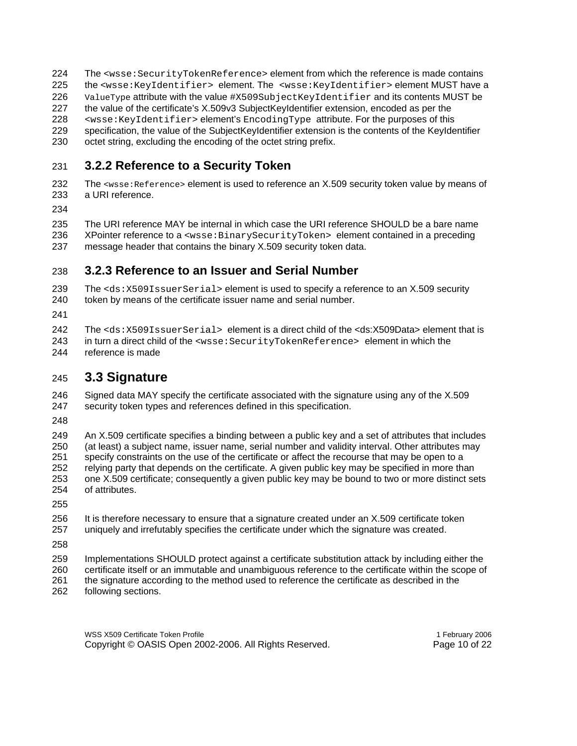- 224 The <wsse: SecurityTokenReference> element from which the reference is made contains
- 225 the <wsse:KeyIdentifier> element. The <wsse:KeyIdentifier> element MUST have a
- 226 valueType attribute with the value  $\#X509SubjectKeyIdentifier$  and its contents MUST be <br>227 the value of the certificate's X.509v3 SubiectKevIdentifier extension, encoded as per the
- the value of the certificate's X.509v3 SubjectKeyIdentifier extension, encoded as per the
- 228 <wsse:KeyIdentifier> element's EncodingType attribute. For the purposes of this 229 specification, the value of the SubjectKeyIdentifier extension is the contents of the KeyIdentifier
- 230 octet string, excluding the encoding of the octet string prefix.

#### 231 **3.2.2 Reference to a Security Token**

- 232 The <wsse:Reference> element is used to reference an X.509 security token value by means of 233 a URI reference.
- 234

235 The URI reference MAY be internal in which case the URI reference SHOULD be a bare name 236 XPointer reference to a <wsse:BinarySecurityToken> element contained in a preceding 237 message header that contains the binary X.509 security token data.

#### 238 **3.2.3 Reference to an Issuer and Serial Number**

- 239 The <ds:X509IssuerSerial> element is used to specify a reference to an X.509 security 240 token by means of the certificate issuer name and serial number.
- 241
- 242 The <ds:X509IssuerSerial> element is a direct child of the <ds:X509Data> element that is 243 in turn a direct child of the <wsse:SecurityTokenReference> element in which the 244 reference is made

#### 245 **3.3 Signature**

246 Signed data MAY specify the certificate associated with the signature using any of the X.509 247 security token types and references defined in this specification.

248

249 An X.509 certificate specifies a binding between a public key and a set of attributes that includes 250 (at least) a subject name, issuer name, serial number and validity interval. Other attributes may 251 specify constraints on the use of the certificate or affect the recourse that may be open to a 252 relying party that depends on the certificate. A given public key may be specified in more than 253 one X.509 certificate; consequently a given public key may be bound to two or more distinct sets 254 of attributes.

255

256 It is therefore necessary to ensure that a signature created under an X.509 certificate token 257 uniquely and irrefutably specifies the certificate under which the signature was created.

- 258
- 259 Implementations SHOULD protect against a certificate substitution attack by including either the
- 260 certificate itself or an immutable and unambiguous reference to the certificate within the scope of
- 261 the signature according to the method used to reference the certificate as described in the
- 262 following sections.

WSS X509 Certificate Token Profile 1 February 2006 Copyright © OASIS Open 2002-2006. All Rights Reserved. Page 10 of 22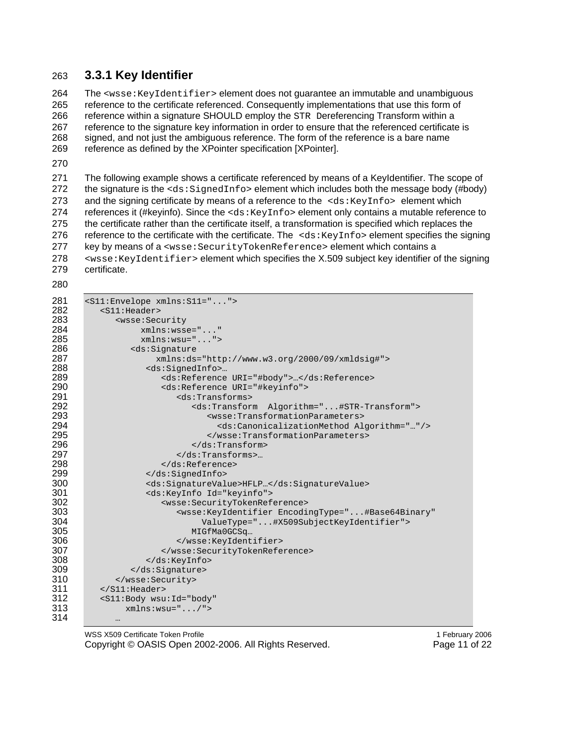#### **3.3.1 Key Identifier**

264 The <wsse:KeyIdentifier> element does not guarantee an immutable and unambiguous 265 reference to the certificate referenced. Consequently implementations that use this form of 266 reference within a signature SHOULD employ the STR Dereferencing Transform within a 267 reference to the signature key information in order to ensure that the referenced certificate is 268 signed, and not just the ambiguous reference. The form of the reference is a bare name 269 reference as defined by the XPointer specification [XPointer].

271 The following example shows a certificate referenced by means of a KeyIdentifier. The scope of 272 the signature is the  $ds:$   $Sigma \cdot f$  element which includes both the message body (#body) 273 and the signing certificate by means of a reference to the  $\langle ds: KeyInf \circ > \text{element which}$ 274 references it (#keyinfo). Since the <ds: KeyInfo> element only contains a mutable reference to 275 the certificate rather than the certificate itself, a transformation is specified which replaces the 276 reference to the certificate with the certificate. The  $\langle ds : K(y) \rangle$  element specifies the signing 277 key by means of a <wsse:SecurityTokenReference> element which contains a 278 <wsse:KeyIdentifier> element which specifies the X.509 subject key identifier of the signing<br>279 certificate. certificate.

| 281 | <s11:envelope xmlns:s11=""></s11:envelope>                                        |
|-----|-----------------------------------------------------------------------------------|
| 282 | $<$ S $11$ : Header>                                                              |
| 283 | <wsse: security<="" th=""></wsse:>                                                |
| 284 | $xmlns:wsse="$ "                                                                  |
| 285 | $xmlns:wsu=".$ ">                                                                 |
| 286 | <ds:signature< th=""></ds:signature<>                                             |
| 287 | xmlns:ds="http://www.w3.org/2000/09/xmldsig#">                                    |
| 288 | <ds:signedinfo></ds:signedinfo>                                                   |
| 289 | <ds:reference uri="#body"></ds:reference>                                         |
| 290 | <ds:reference uri="#keyinfo"></ds:reference>                                      |
| 291 | <ds:transforms></ds:transforms>                                                   |
| 292 | <ds:transform algorithm="#STR-Transform"></ds:transform>                          |
| 293 | <wsse:transformationparameters></wsse:transformationparameters>                   |
| 294 | <ds:canonicalizationmethod algorithm=""></ds:canonicalizationmethod>              |
| 295 |                                                                                   |
| 296 |                                                                                   |
| 297 |                                                                                   |
| 298 |                                                                                   |
| 299 |                                                                                   |
| 300 | <ds:signaturevalue>HFLP</ds:signaturevalue>                                       |
| 301 | <ds:keyinfo id="keyinfo"></ds:keyinfo>                                            |
| 302 | <wsse:securitytokenreference></wsse:securitytokenreference>                       |
| 303 | <wsse:keyidentifier <="" encodingtype="#Base64Binary" th=""></wsse:keyidentifier> |
| 304 | ValueType="#X509SubjectKeyIdentifier">                                            |
| 305 | MIGfMa0GCSq                                                                       |
| 306 |                                                                                   |
| 307 |                                                                                   |
| 308 |                                                                                   |
| 309 |                                                                                   |
| 310 |                                                                                   |
| 311 | $\langle$ /S11:Header>                                                            |
| 312 | <s11:body <="" th="" wsu:id="body"></s11:body>                                    |
| 313 | $xmlns:wsu=$ "/">                                                                 |
| 314 | $\bullet\bullet\bullet$                                                           |

WSS X509 Certificate Token Profile 1 February 2006 Copyright © OASIS Open 2002-2006. All Rights Reserved. Page 11 of 22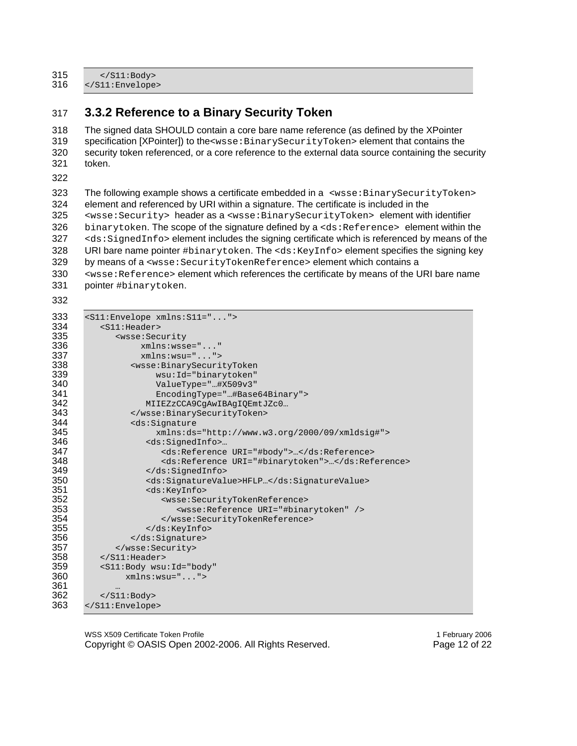$315 \times /S11:Body>$ <br> $316 \times /S11:Envelope$ </S11:Envelope>

#### **3.3.2 Reference to a Binary Security Token**

318 The signed data SHOULD contain a core bare name reference (as defined by the XPointer 319 specification [XPointer]) to the<wsse:BinarySecurityToken> element that contains the 320 security token referenced, or a core reference to the external data source containing the security 321 token.

323 The following example shows a certificate embedded in a <wsse:BinarySecurityToken> 324 element and referenced by URI within a signature. The certificate is included in the <wsse:Security> header as a <wsse:BinarySecurityToken> element with identifier 326 binarytoken. The scope of the signature defined by a <ds:Reference> element within the <ds:SignedInfo> element includes the signing certificate which is referenced by means of the 328 URI bare name pointer #binarytoken. The <ds: KeyInfo> element specifies the signing key 329 by means of a <wsse:SecurityTokenReference> element which contains a 330 <wsse:Reference> element which references the certificate by means of the URI bare name

331 pointer #binarytoken.

| 333 | <s11:envelope xmlns:s11=""></s11:envelope>                    |
|-----|---------------------------------------------------------------|
| 334 | $<$ S $11$ : Header>                                          |
| 335 | <wsse: security<="" th=""></wsse:>                            |
| 336 | xmlns:wsse=""                                                 |
| 337 | $xmlns:wsu=".$ ">                                             |
| 338 | <wsse:binarysecuritytoken< th=""></wsse:binarysecuritytoken<> |
| 339 | wsu: Id="binarytoken"                                         |
| 340 | ValueType="#X509v3"                                           |
| 341 | EncodingType="#Base64Binary">                                 |
| 342 | MIIEZzCCA9CqAwIBAqIQEmtJZc0                                   |
| 343 |                                                               |
| 344 | <ds:signature< th=""></ds:signature<>                         |
| 345 | xmlns:ds="http://www.w3.org/2000/09/xmldsig#">                |
| 346 | <ds:signedinfo></ds:signedinfo>                               |
| 347 | <ds:reference uri="#body"></ds:reference>                     |
| 348 | <ds:reference uri="#binarytoken"></ds:reference>              |
| 349 |                                                               |
| 350 | <ds:signaturevalue>HFLP</ds:signaturevalue>                   |
| 351 | <ds:keyinfo></ds:keyinfo>                                     |
| 352 | <wsse:securitytokenreference></wsse:securitytokenreference>   |
| 353 | <wsse:reference uri="#binarytoken"></wsse:reference>          |
| 354 |                                                               |
| 355 |                                                               |
| 356 |                                                               |
| 357 |                                                               |
| 358 | $\langle$ /S11:Header>                                        |
| 359 | <s11:body <="" th="" wsu:id="body"></s11:body>                |
| 360 | $xmlns:wsu=".$ ">                                             |
| 361 | $\cdots$                                                      |
| 362 | $\langle$ /S11:Body>                                          |
| 363 |                                                               |

WSS X509 Certificate Token Profile 1 February 2006 Copyright © OASIS Open 2002-2006. All Rights Reserved. Page 12 of 22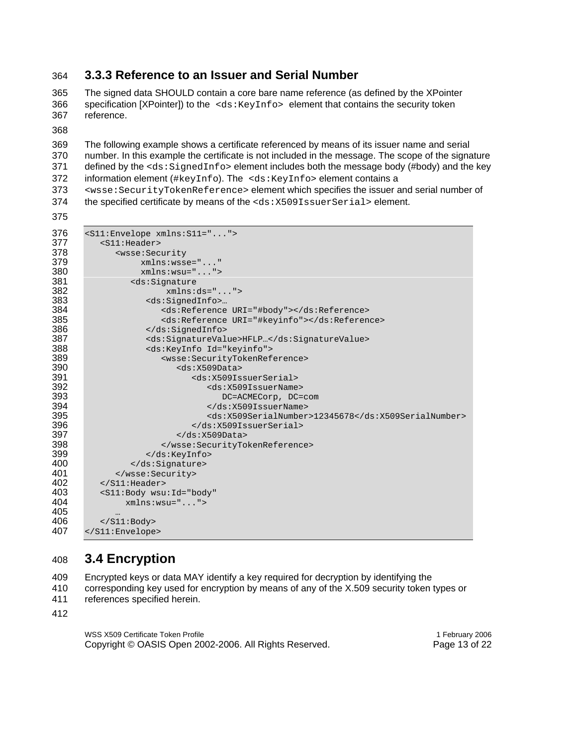#### **3.3.3 Reference to an Issuer and Serial Number**

365 The signed data SHOULD contain a core bare name reference (as defined by the XPointer 366 specification [XPointer]) to the <ds:KeyInfo> element that contains the security token 367 reference.

369 The following example shows a certificate referenced by means of its issuer name and serial 370 number. In this example the certificate is not included in the message. The scope of the signature 371 defined by the  $\langle ds : S{\rm i}g \rangle$  defined  $Inf \circ > e$  element includes both the message body (#body) and the key 372 information element (#keyInfo). The <ds: KeyInfo> element contains a

<wsse:SecurityTokenReference> element which specifies the issuer and serial number of 374 the specified certificate by means of the <ds:X509IssuerSerial> element.

| 376 | <s11:envelope xmlns:s11=""></s11:envelope>                  |
|-----|-------------------------------------------------------------|
| 377 | $<$ S $11$ : Header>                                        |
| 378 | <wsse: security<="" th=""></wsse:>                          |
| 379 | $xmlns:wsse="$ "                                            |
| 380 | $xmlns:wsu = ""$                                            |
| 381 | <ds:signature< th=""></ds:signature<>                       |
| 382 | $xmlns:ds="$ ">                                             |
| 383 | <ds:signedinfo></ds:signedinfo>                             |
| 384 | <ds:reference uri="#body"></ds:reference>                   |
| 385 | <ds:reference uri="#keyinfo"></ds:reference>                |
| 386 |                                                             |
| 387 | <ds:signaturevalue>HFLP</ds:signaturevalue>                 |
| 388 | <ds:keyinfo id="keyinfo"></ds:keyinfo>                      |
| 389 | <wsse:securitytokenreference></wsse:securitytokenreference> |
| 390 | <ds:x509data></ds:x509data>                                 |
| 391 | <ds:x509issuerserial></ds:x509issuerserial>                 |
| 392 | <ds:x509issuername></ds:x509issuername>                     |
| 393 | DC=ACMECorp, DC=com                                         |
| 394 |                                                             |
| 395 | <ds:x509serialnumber>12345678</ds:x509serialnumber>         |
| 396 |                                                             |
| 397 | $\langle$ /ds:X509Data>                                     |
| 398 |                                                             |
| 399 |                                                             |
| 400 |                                                             |
| 401 |                                                             |
| 402 | $\langle$ /S11:Header>                                      |
| 403 | <s11:body <="" th="" wsu:id="body"></s11:body>              |
| 404 | $xmlns:wsu=".$ ">                                           |
| 405 | $\ddotsc$                                                   |
| 406 | $\langle$ S11: Body>                                        |
| 407 |                                                             |

#### **3.4 Encryption**

409 Encrypted keys or data MAY identify a key required for decryption by identifying the

- 410 corresponding key used for encryption by means of any of the X.509 security token types or
- 411 references specified herein.
- 

WSS X509 Certificate Token Profile 1 February 2006 Copyright © OASIS Open 2002-2006. All Rights Reserved. Page 13 of 22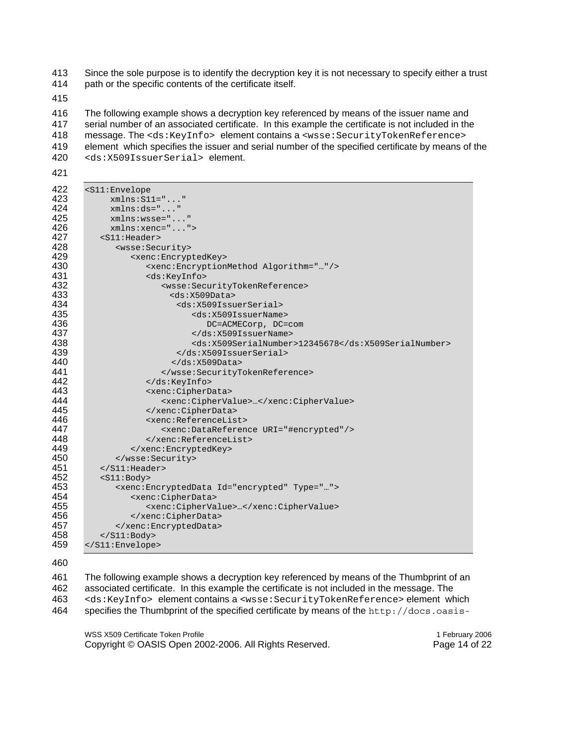413 Since the sole purpose is to identify the decryption key it is not necessary to specify either a trust 414 path or the specific contents of the certificate itself.

416 The following example shows a decryption key referenced by means of the issuer name and 417 serial number of an associated certificate. In this example the certificate is not included in the 418 message. The <ds:KeyInfo> element contains a <wsse:SecurityTokenReference> 419 element which specifies the issuer and serial number of the specified certificate by means of the <ds:X509IssuerSerial> element.

| 422        | <s11:envelope< th=""></s11:envelope<>                       |
|------------|-------------------------------------------------------------|
| 423        | $xmlns: S11 = "$ "                                          |
| 424        | $xmlns:ds = ""$                                             |
| 425        | $xmlns:wsse="$ "                                            |
| 426        | xmlns:xenc="">                                              |
| 427        | $<$ S $11$ : Header>                                        |
| 428        | <wsse: security=""></wsse:>                                 |
| 429        | <xenc: encryptedkey=""></xenc:>                             |
| 430        | <xenc: algorithm="" encryptionmethod=""></xenc:>            |
| 431        | <ds:keyinfo></ds:keyinfo>                                   |
| 432        | <wsse:securitytokenreference></wsse:securitytokenreference> |
| 433        | <ds:x509data></ds:x509data>                                 |
| 434        | <ds:x509issuerserial></ds:x509issuerserial>                 |
| 435        | <ds:x509issuername></ds:x509issuername>                     |
| 436        | DC=ACMECorp, DC=com                                         |
| 437        |                                                             |
| 438        | <ds:x509serialnumber>12345678</ds:x509serialnumber>         |
| 439        |                                                             |
| 440        | $\langle$ /ds:X509Data>                                     |
| 441        |                                                             |
| 442        |                                                             |
| 443        | <xenc:cipherdata></xenc:cipherdata>                         |
| 444        | <xenc:ciphervalue></xenc:ciphervalue>                       |
| 445        |                                                             |
| 446<br>447 | <xenc:referencelist></xenc:referencelist>                   |
| 448        | <xenc:datareference uri="#encrypted"></xenc:datareference>  |
| 449        |                                                             |
| 450        |                                                             |
| 451        | <br>$\langle$ /S11:Header>                                  |
| 452        | <s11:body></s11:body>                                       |
| 453        | <xenc: encrypteddata="" id="encrypted" type=""></xenc:>     |
| 454        | <xenc:cipherdata></xenc:cipherdata>                         |
| 455        | <xenc:ciphervalue></xenc:ciphervalue>                       |
| 456        |                                                             |
| 457        |                                                             |
| 458        | $\langle$ S11:Body>                                         |
| 459        |                                                             |
|            |                                                             |

461 The following example shows a decryption key referenced by means of the Thumbprint of an 462 associated certificate. In this example the certificate is not included in the message. The <ds:KeyInfo> element contains a <wsse:SecurityTokenReference> element which 464 specifies the Thumbprint of the specified certificate by means of the http://docs.oasis-

WSS X509 Certificate Token Profile 1 February 2006 Copyright © OASIS Open 2002-2006. All Rights Reserved. Page 14 of 22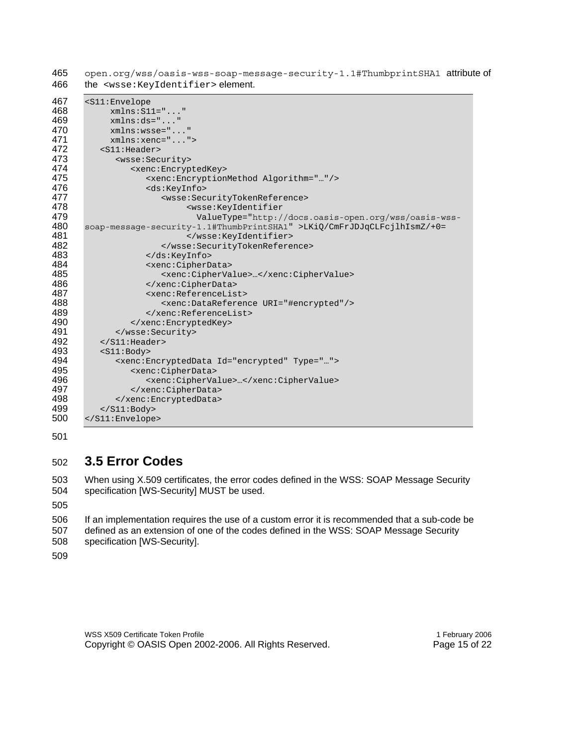open.org/wss/oasis-wss-soap-message-security-1.1#ThumbprintSHA1 attribute of 466 the <wsse:KeyIdentifier> element.

| 467 | $<$ S $11$ : Envelope                                                   |  |  |
|-----|-------------------------------------------------------------------------|--|--|
| 468 | $xmlns: S11 = ""$                                                       |  |  |
| 469 | $xmlns:ds = ""$                                                         |  |  |
| 470 | $xmlns:wsse="$ "                                                        |  |  |
| 471 | $xmlns:$ xenc= $".$                                                     |  |  |
| 472 | $<$ S11:Header>                                                         |  |  |
| 473 | <wsse: security=""></wsse:>                                             |  |  |
| 474 | <xenc:encryptedkey></xenc:encryptedkey>                                 |  |  |
| 475 | <xenc: algorithm="" encryptionmethod=""></xenc:>                        |  |  |
| 476 | <ds:keyinfo></ds:keyinfo>                                               |  |  |
| 477 | <wsse:securitytokenreference></wsse:securitytokenreference>             |  |  |
| 478 | <wsse:keyidentifier< th=""></wsse:keyidentifier<>                       |  |  |
| 479 | ValueType="http://docs.oasis-open.org/wss/oasis-wss-                    |  |  |
| 480 | soap-messaqe-security-1.1#ThumbPrintSHA1" >LKiQ/CmFrJDJqCLFcjlhIsmZ/+0= |  |  |
| 481 |                                                                         |  |  |
| 482 |                                                                         |  |  |
| 483 |                                                                         |  |  |
| 484 | <xenc:cipherdata></xenc:cipherdata>                                     |  |  |
| 485 | <xenc:ciphervalue></xenc:ciphervalue>                                   |  |  |
| 486 |                                                                         |  |  |
| 487 | <xenc:referencelist></xenc:referencelist>                               |  |  |
| 488 | <xenc:datareference uri="#encrypted"></xenc:datareference>              |  |  |
| 489 |                                                                         |  |  |
| 490 |                                                                         |  |  |
| 491 |                                                                         |  |  |
| 492 | $\langle$ /S11:Header>                                                  |  |  |
| 493 | $<$ S $11$ : Body>                                                      |  |  |
| 494 | <xenc:encrypteddata id="encrypted" type=""></xenc:encrypteddata>        |  |  |
| 495 | <xenc:cipherdata></xenc:cipherdata>                                     |  |  |
| 496 | <xenc:ciphervalue></xenc:ciphervalue>                                   |  |  |
| 497 |                                                                         |  |  |
| 498 |                                                                         |  |  |
| 499 | $\langle$ S11: Body>                                                    |  |  |
| 500 |                                                                         |  |  |

#### **3.5 Error Codes**

503 When using X.509 certificates, the error codes defined in the WSS: SOAP Message Security 504 specification [WS-Security] MUST be used.

506 If an implementation requires the use of a custom error it is recommended that a sub-code be<br>507 defined as an extension of one of the codes defined in the WSS: SOAP Message Security defined as an extension of one of the codes defined in the WSS: SOAP Message Security 508 specification [WS-Security].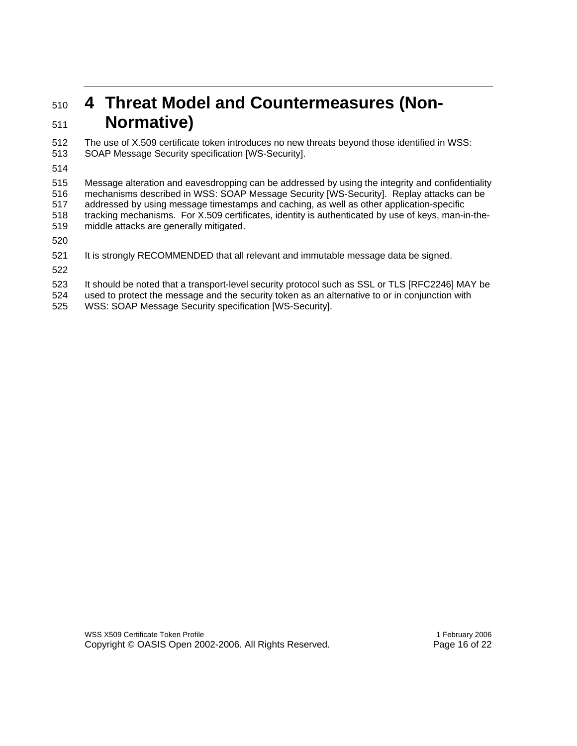## 510 **4 Threat Model and Countermeasures (Non-**<sup>511</sup>**Normative)**

512 The use of X.509 certificate token introduces no new threats beyond those identified in WSS: 513 SOAP Message Security specification [WS-Security].

514

515 Message alteration and eavesdropping can be addressed by using the integrity and confidentiality 516 mechanisms described in WSS: SOAP Message Security [WS-Security]. Replay attacks can be 517 addressed by using message timestamps and caching, as well as other application-specific 518 tracking mechanisms. For X.509 certificates, identity is authenticated by use of keys, man-in-the-519 middle attacks are generally mitigated.

520

521 It is strongly RECOMMENDED that all relevant and immutable message data be signed.

522

- 523 It should be noted that a transport-level security protocol such as SSL or TLS [RFC2246] MAY be
- 524 used to protect the message and the security token as an alternative to or in conjunction with
- 525 WSS: SOAP Message Security specification [WS-Security].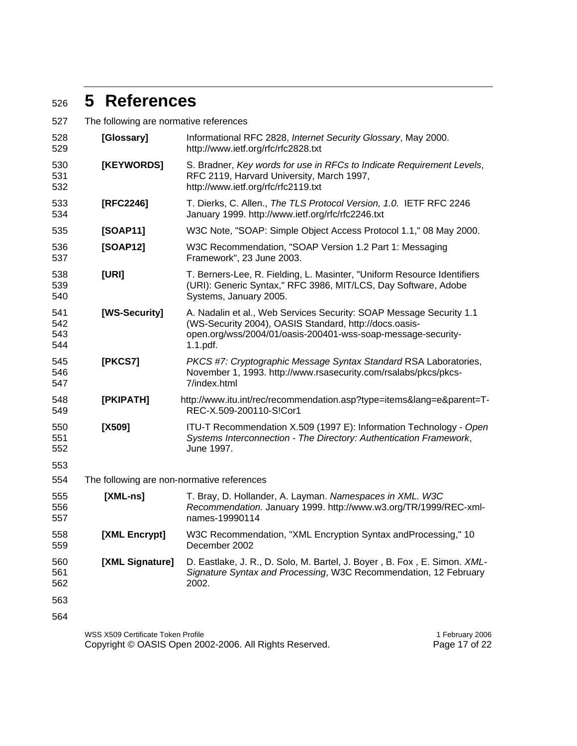## <sup>526</sup>**5 References**

527 The following are normative references

| 528<br>529               | [Glossary]                                                                                                                                                                   | Informational RFC 2828, Internet Security Glossary, May 2000.<br>http://www.ietf.org/rfc/rfc2828.txt                                                                                                         |  |
|--------------------------|------------------------------------------------------------------------------------------------------------------------------------------------------------------------------|--------------------------------------------------------------------------------------------------------------------------------------------------------------------------------------------------------------|--|
| 530<br>531<br>532        | [KEYWORDS]                                                                                                                                                                   | S. Bradner, Key words for use in RFCs to Indicate Requirement Levels,<br>RFC 2119, Harvard University, March 1997,<br>http://www.ietf.org/rfc/rfc2119.txt                                                    |  |
| 533<br>534               | [RFC2246]                                                                                                                                                                    | T. Dierks, C. Allen., The TLS Protocol Version, 1.0. IETF RFC 2246<br>January 1999. http://www.ietf.org/rfc/rfc2246.txt                                                                                      |  |
| 535                      | [SOAP11]                                                                                                                                                                     | W3C Note, "SOAP: Simple Object Access Protocol 1.1," 08 May 2000.                                                                                                                                            |  |
| 536<br>537               | [SOAP12]                                                                                                                                                                     | W3C Recommendation, "SOAP Version 1.2 Part 1: Messaging<br>Framework", 23 June 2003.                                                                                                                         |  |
| 538<br>539<br>540        | [URI]<br>T. Berners-Lee, R. Fielding, L. Masinter, "Uniform Resource Identifiers<br>(URI): Generic Syntax," RFC 3986, MIT/LCS, Day Software, Adobe<br>Systems, January 2005. |                                                                                                                                                                                                              |  |
| 541<br>542<br>543<br>544 | [WS-Security]                                                                                                                                                                | A. Nadalin et al., Web Services Security: SOAP Message Security 1.1<br>(WS-Security 2004), OASIS Standard, http://docs.oasis-<br>open.org/wss/2004/01/oasis-200401-wss-soap-message-security-<br>$1.1$ .pdf. |  |
| 545<br>546<br>547        | [PKCS7]                                                                                                                                                                      | PKCS #7: Cryptographic Message Syntax Standard RSA Laboratories,<br>November 1, 1993. http://www.rsasecurity.com/rsalabs/pkcs/pkcs-<br>7/index.html                                                          |  |
| 548<br>549               | [PKIPATH]<br>http://www.itu.int/rec/recommendation.asp?type=items⟨=e&parent=T-<br>REC-X.509-200110-S!Cor1                                                                    |                                                                                                                                                                                                              |  |
| 550<br>551<br>552        | [X509]                                                                                                                                                                       | ITU-T Recommendation X.509 (1997 E): Information Technology - Open<br>Systems Interconnection - The Directory: Authentication Framework,<br>June 1997.                                                       |  |
| 553                      |                                                                                                                                                                              |                                                                                                                                                                                                              |  |
| 554                      | The following are non-normative references                                                                                                                                   |                                                                                                                                                                                                              |  |
| 555<br>556<br>557        | $[XML-ns]$<br>T. Bray, D. Hollander, A. Layman. Namespaces in XML. W3C<br>Recommendation. January 1999. http://www.w3.org/TR/1999/REC-xml-<br>names-19990114                 |                                                                                                                                                                                                              |  |
| 558<br>559               | W3C Recommendation, "XML Encryption Syntax andProcessing," 10<br>[XML Encrypt]<br>December 2002                                                                              |                                                                                                                                                                                                              |  |
| 560<br>561<br>562        | [XML Signature]                                                                                                                                                              | D. Eastlake, J. R., D. Solo, M. Bartel, J. Boyer, B. Fox, E. Simon. XML-<br>Signature Syntax and Processing, W3C Recommendation, 12 February<br>2002.                                                        |  |
| 563                      |                                                                                                                                                                              |                                                                                                                                                                                                              |  |
| 564                      |                                                                                                                                                                              |                                                                                                                                                                                                              |  |
|                          | WSS X509 Certificate Token Profile                                                                                                                                           | 1 February 2006                                                                                                                                                                                              |  |

Copyright © OASIS Open 2002-2006. All Rights Reserved. Page 17 of 22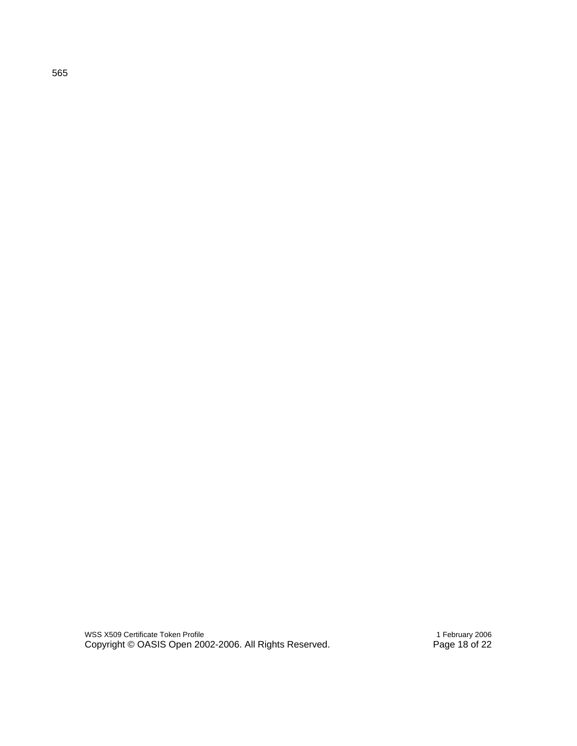565

WSS X509 Certificate Token Profile 1 February 2006 Copyright © OASIS Open 2002-2006. All Rights Reserved. Page 18 of 22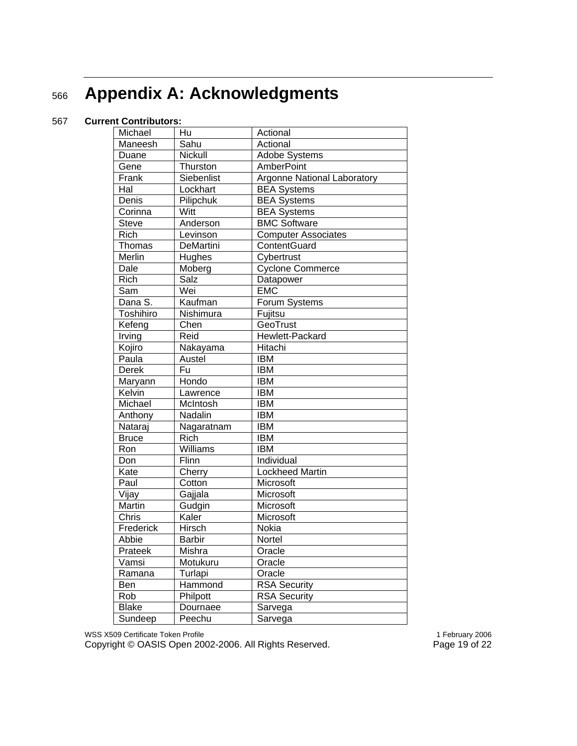## <sup>566</sup>**Appendix A: Acknowledgments**

#### 567 **Current Contributors:**

| IL VUIILI INULUI 3. |                            |                                    |  |
|---------------------|----------------------------|------------------------------------|--|
| Michael             | Hu                         | Actional                           |  |
| Maneesh             | Sahu                       | Actional                           |  |
| Duane               | <b>Nickull</b>             | <b>Adobe Systems</b>               |  |
| Gene                | Thurston                   | <b>AmberPoint</b>                  |  |
| Frank               | Siebenlist                 | <b>Argonne National Laboratory</b> |  |
| Hal                 | Lockhart                   | <b>BEA Systems</b>                 |  |
| Denis               | Pilipchuk                  | <b>BEA Systems</b>                 |  |
| Corinna             | Witt                       | <b>BEA Systems</b>                 |  |
| Steve               | Anderson                   | <b>BMC Software</b>                |  |
| <b>Rich</b>         | Levinson                   | <b>Computer Associates</b>         |  |
| Thomas              | DeMartini                  | <b>ContentGuard</b>                |  |
| <b>Merlin</b>       | Hughes                     | Cybertrust                         |  |
| Dale                | Moberg                     | <b>Cyclone Commerce</b>            |  |
| <b>Rich</b>         | Salz                       | Datapower                          |  |
| Sam                 | Wei                        | <b>EMC</b>                         |  |
| Dana S.             | Kaufman                    | Forum Systems                      |  |
| Toshihiro           | Nishimura                  | Fujitsu                            |  |
| Kefeng              | $\overline{\mathsf{Chen}}$ | <b>GeoTrust</b>                    |  |
| Irving              | Reid                       | Hewlett-Packard                    |  |
| Kojiro              | Nakayama                   | Hitachi                            |  |
| Paula               | Austel                     | <b>IBM</b>                         |  |
| <b>Derek</b>        | $\overline{Fu}$            | <b>IBM</b>                         |  |
| Maryann             | Hondo                      | <b>IBM</b>                         |  |
| Kelvin              | Lawrence                   | <b>IBM</b>                         |  |
| Michael             | McIntosh                   | <b>IBM</b>                         |  |
| Anthony             | Nadalin                    | <b>IBM</b>                         |  |
| Nataraj             | Nagaratnam                 | <b>IBM</b>                         |  |
| <b>Bruce</b>        | Rich                       | <b>IBM</b>                         |  |
| Ron                 | Williams                   | <b>IBM</b>                         |  |
| Don                 | Flinn                      | Individual                         |  |
| Kate                | Cherry                     | Lockheed Martin                    |  |
| Paul                | Cotton                     | Microsoft                          |  |
| Vijay               | Gajjala                    | Microsoft                          |  |
| Martin              | Gudgin                     | Microsoft                          |  |
| Chris               | Kaler                      | Microsoft                          |  |
| Frederick           | <b>Hirsch</b>              | <b>Nokia</b>                       |  |
| Abbie               | <b>Barbir</b>              | Nortel                             |  |
| Prateek             | Mishra                     | Oracle                             |  |
| Vamsi               | Motukuru                   | Oracle                             |  |
| Ramana              | Turlapi                    | Oracle                             |  |
| Ben                 | Hammond                    | <b>RSA Security</b>                |  |
| Rob                 | Philpott                   | <b>RSA Security</b>                |  |
| <b>Blake</b>        | Dournaee                   | Sarvega                            |  |
| Sundeep             | Peechu                     | Sarvega                            |  |

WSS X509 Certificate Token Profile 1 February 2006

Copyright © OASIS Open 2002-2006. All Rights Reserved. Page 19 of 22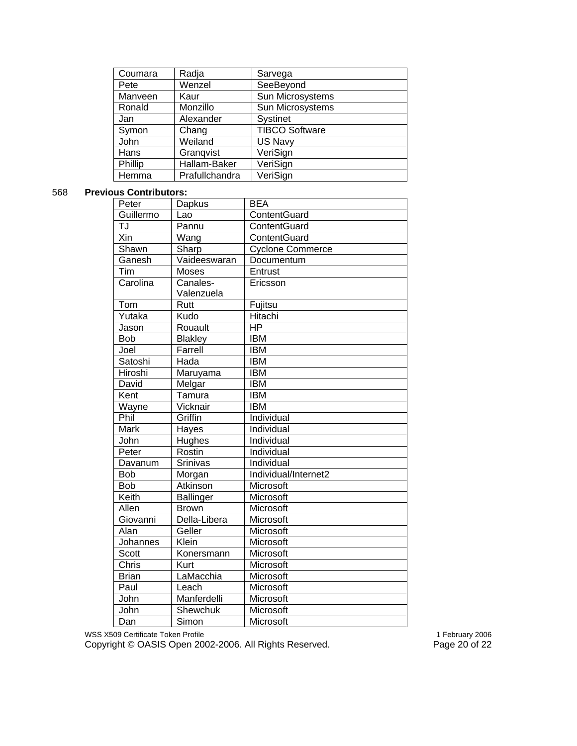| Coumara | Radja          | Sarvega               |
|---------|----------------|-----------------------|
| Pete    | Wenzel         | SeeBeyond             |
| Manveen | Kaur           | Sun Microsystems      |
| Ronald  | Monzillo       | Sun Microsystems      |
| Jan     | Alexander      | Systinet              |
| Symon   | Chang          | <b>TIBCO Software</b> |
| John    | Weiland        | US Navy               |
| Hans    | Grangvist      | VeriSign              |
| Phillip | Hallam-Baker   | VeriSign              |
| Hemma   | Prafullchandra | VeriSign              |

#### 568 **Previous Contributors:**

| us vunniuuus.          |                           |                      |  |
|------------------------|---------------------------|----------------------|--|
| Peter                  | Dapkus                    | <b>BEA</b>           |  |
| Guillermo              | Lao                       | ContentGuard         |  |
| Pannu<br>TJ            |                           | ContentGuard         |  |
| $\overline{X}$ in      | $\overline{\text{W}}$ ang | ContentGuard         |  |
| Shawn                  | Sharp                     | Cyclone Commerce     |  |
| Vaideeswaran<br>Ganesh |                           | Documentum           |  |
| Tim                    | <b>Moses</b>              | Entrust              |  |
| Carolina               | Canales-                  | Ericsson             |  |
|                        | Valenzuela                |                      |  |
| Tom                    | Rutt                      | Fujitsu              |  |
| Yutaka                 | Kudo                      | <b>Hitachi</b>       |  |
| Jason                  | Rouault                   | $\overline{HP}$      |  |
| <b>Bob</b>             | <b>Blakley</b>            | <b>IBM</b>           |  |
| Joel                   | Farrell                   | <b>IBM</b>           |  |
| Satoshi                | Hada                      | <b>IBM</b>           |  |
| Hiroshi                | Maruyama                  | <b>IBM</b>           |  |
| David                  | Melgar                    | <b>IBM</b>           |  |
| Kent                   | Tamura                    | <b>IBM</b>           |  |
| Wayne                  | Vicknair                  | <b>IBM</b>           |  |
| Phil                   | Griffin                   | <b>Individual</b>    |  |
| <b>Mark</b>            | Hayes                     | Individual           |  |
| John                   | Hughes                    | Individual           |  |
| Peter                  | Rostin                    | Individual           |  |
| Davanum                | Srinivas                  | Individual           |  |
| <b>Bob</b>             | Morgan                    | Individual/Internet2 |  |
| <b>Bob</b>             | Atkinson                  | Microsoft            |  |
| Keith                  | Ballinger                 | Microsoft            |  |
| Allen                  | <b>Brown</b>              | Microsoft            |  |
| Giovanni               | Della-Libera              | Microsoft            |  |
| Alan                   | Geller                    | Microsoft            |  |
| Johannes               | Klein                     | Microsoft            |  |
| <b>Scott</b>           | Konersmann                | Microsoft            |  |
| Chris                  | Kurt                      | Microsoft            |  |
| <b>Brian</b>           | LaMacchia                 | Microsoft            |  |
| Paul                   | Leach                     | Microsoft            |  |
| John                   | Manferdelli               | Microsoft            |  |
| John                   | Shewchuk                  | Microsoft            |  |
| Dan                    | Simon                     | Microsoft            |  |

WSS X509 Certificate Token Profile 1 February 2006

Copyright © OASIS Open 2002-2006. All Rights Reserved. Page 20 of 22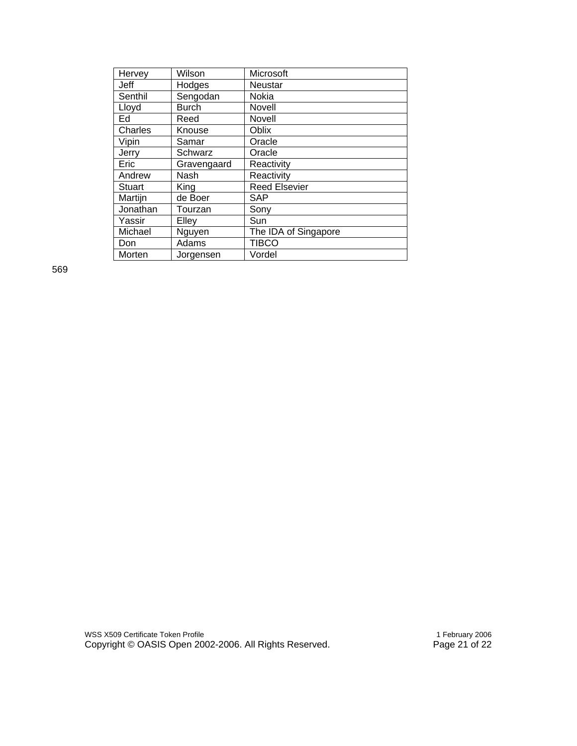| Hervey        | Wilson       | Microsoft            |
|---------------|--------------|----------------------|
| Jeff          | Hodges       | Neustar              |
| Senthil       | Sengodan     | Nokia                |
| Lloyd         | <b>Burch</b> | Novell               |
| Ed            | Reed         | Novell               |
| Charles       | Knouse       | Oblix                |
| Vipin         | Samar        | Oracle               |
| Jerry         | Schwarz      | Oracle               |
| Eric          | Gravengaard  | Reactivity           |
| Andrew        | Nash         | Reactivity           |
| <b>Stuart</b> | King         | <b>Reed Elsevier</b> |
| Martijn       | de Boer      | <b>SAP</b>           |
| Jonathan      | Tourzan      | Sony                 |
| Yassir        | Elley        | Sun                  |
| Michael       | Nguyen       | The IDA of Singapore |
| Don           | Adams        | <b>TIBCO</b>         |
| Morten        | Jorgensen    | Vordel               |

569

WSS X509 Certificate Token Profile 1 February 2006 Copyright © OASIS Open 2002-2006. All Rights Reserved. Page 21 of 22